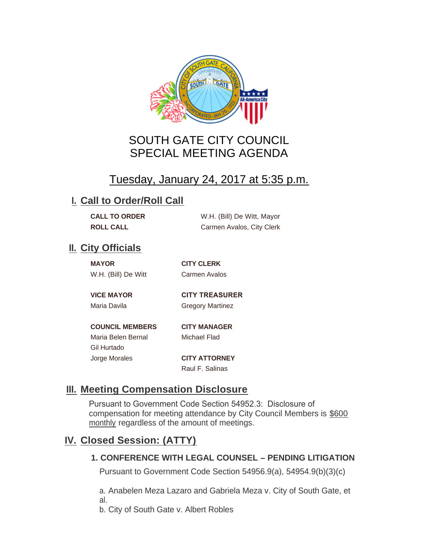

# SOUTH GATE CITY COUNCIL SPECIAL MEETING AGENDA

# Tuesday, January 24, 2017 at 5:35 p.m.

#### **I. Call to Order/Roll Call**

| <b>CALL TO ORDER</b> | W.H. (Bill) De Witt, Mayor |
|----------------------|----------------------------|
| <b>ROLL CALL</b>     | Carmen Avalos, City Clerk  |

### **II.** City Officials

| <b>MAYOR</b>        |  |
|---------------------|--|
| W.H. (Bill) De Witt |  |

**MAYOR CITY CLERK** Carmen Avalos

**VICE MAYOR CITY TREASURER** 

Maria Davila **Gregory Martinez** 

**COUNCIL MEMBERS CITY MANAGER** Maria Belen Bernal Michael Flad Gil Hurtado Jorge Morales **CITY ATTORNEY**

Raul F. Salinas

## **Meeting Compensation Disclosure III.**

Pursuant to Government Code Section 54952.3: Disclosure of compensation for meeting attendance by City Council Members is \$600 monthly regardless of the amount of meetings.

## **Closed Session: (ATTY) IV.**

#### **1. CONFERENCE WITH LEGAL COUNSEL – PENDING LITIGATION**

Pursuant to Government Code Section 54956.9(a), 54954.9(b)(3)(c)

a. Anabelen Meza Lazaro and Gabriela Meza v. City of South Gate, et al.

b. City of South Gate v. Albert Robles